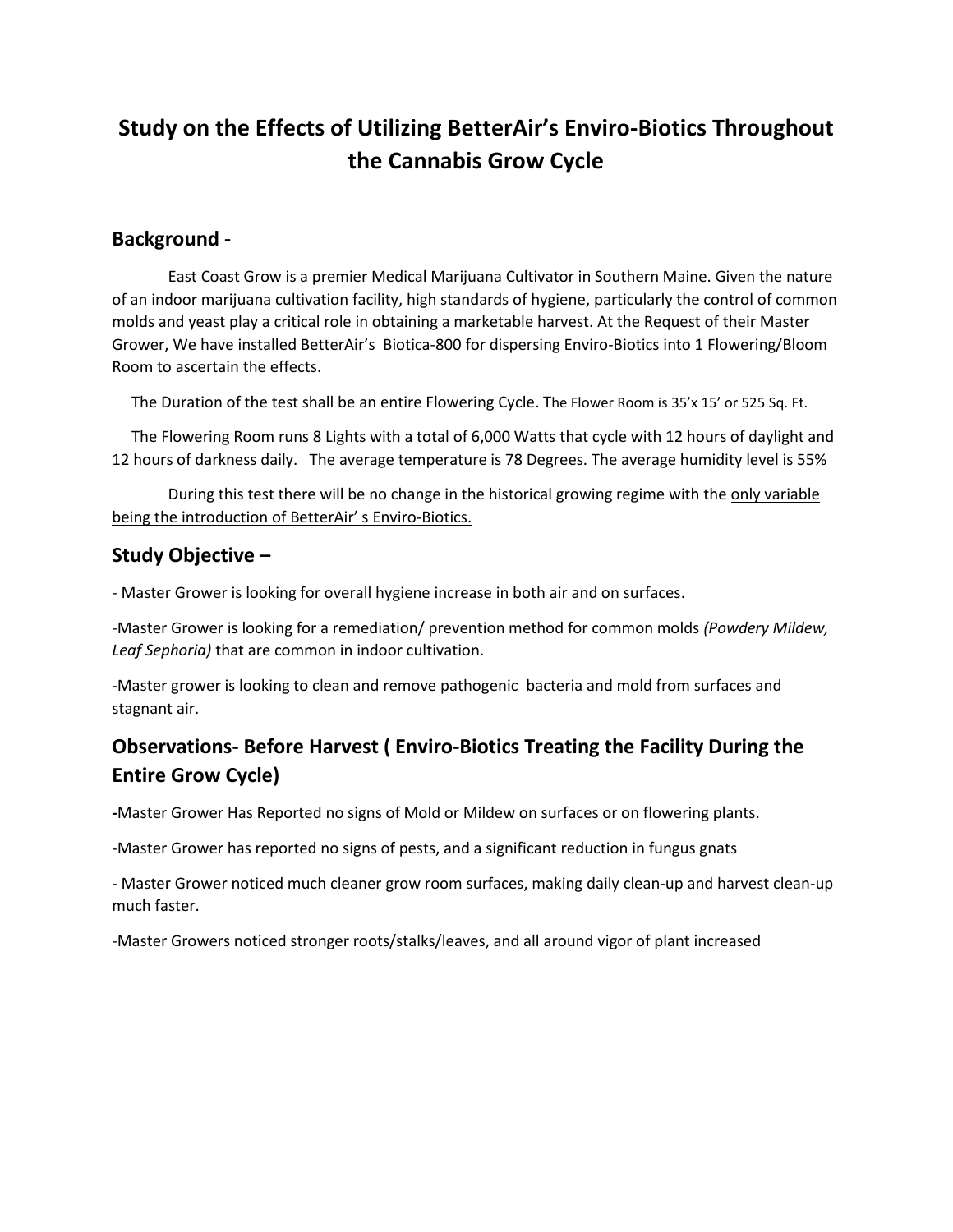# **Study on the Effects of Utilizing BetterAir's Enviro-Biotics Throughout the Cannabis Grow Cycle**

### **Background -**

East Coast Grow is a premier Medical Marijuana Cultivator in Southern Maine. Given the nature of an indoor marijuana cultivation facility, high standards of hygiene, particularly the control of common molds and yeast play a critical role in obtaining a marketable harvest. At the Request of their Master Grower, We have installed BetterAir's Biotica-800 for dispersing Enviro-Biotics into 1 Flowering/Bloom Room to ascertain the effects.

The Duration of the test shall be an entire Flowering Cycle. The Flower Room is 35'x 15' or 525 Sq. Ft.

 The Flowering Room runs 8 Lights with a total of 6,000 Watts that cycle with 12 hours of daylight and 12 hours of darkness daily. The average temperature is 78 Degrees. The average humidity level is 55%

During this test there will be no change in the historical growing regime with the only variable being the introduction of BetterAir' s Enviro-Biotics.

## **Study Objective –**

- Master Grower is looking for overall hygiene increase in both air and on surfaces.

-Master Grower is looking for a remediation/ prevention method for common molds *(Powdery Mildew, Leaf Sephoria)* that are common in indoor cultivation.

-Master grower is looking to clean and remove pathogenic bacteria and mold from surfaces and stagnant air.

# **Observations- Before Harvest ( Enviro-Biotics Treating the Facility During the Entire Grow Cycle)**

**-**Master Grower Has Reported no signs of Mold or Mildew on surfaces or on flowering plants.

-Master Grower has reported no signs of pests, and a significant reduction in fungus gnats

- Master Grower noticed much cleaner grow room surfaces, making daily clean-up and harvest clean-up much faster.

-Master Growers noticed stronger roots/stalks/leaves, and all around vigor of plant increased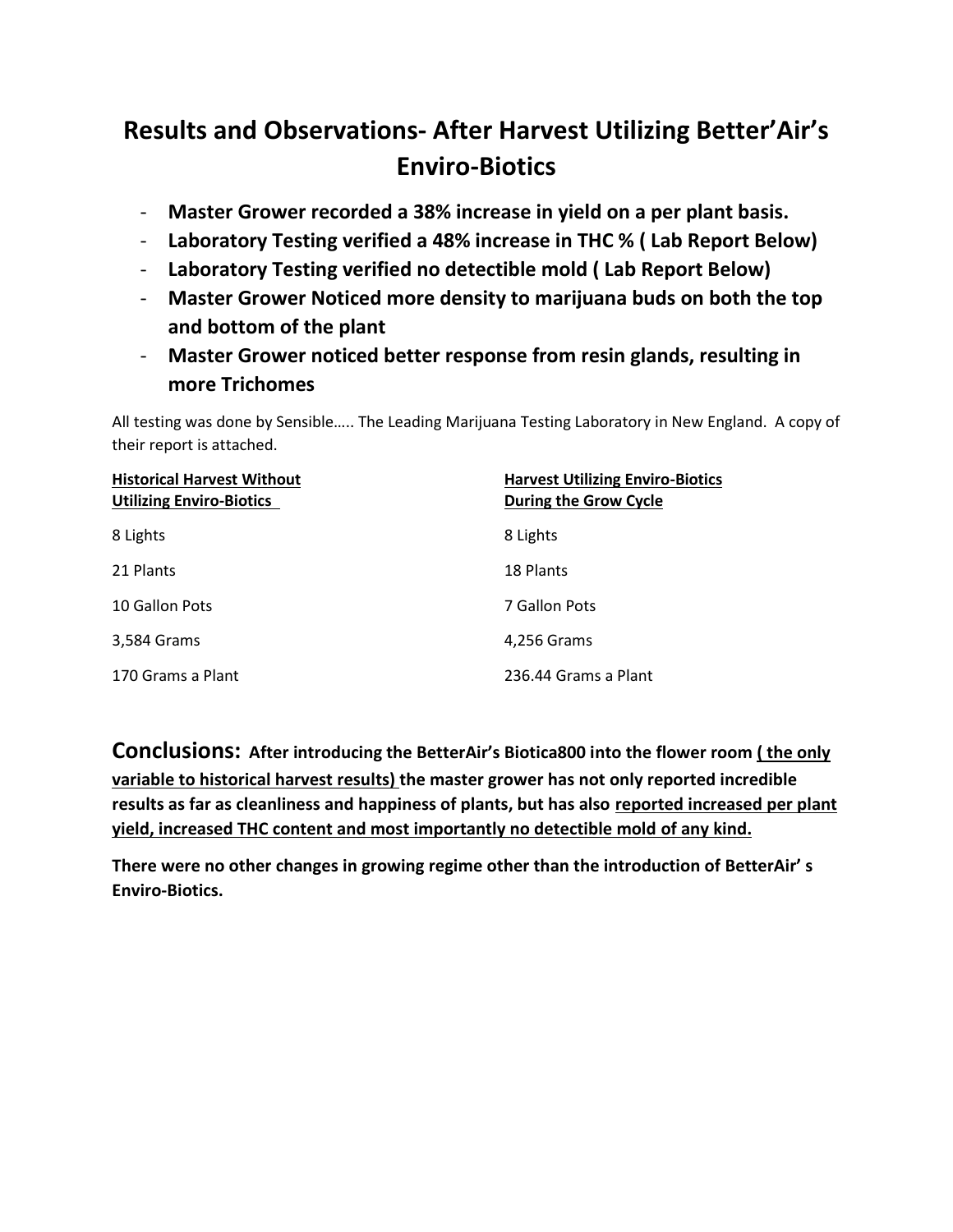# **Results and Observations- After Harvest Utilizing Better'Air's Enviro-Biotics**

- **Master Grower recorded a 38% increase in yield on a per plant basis.**
- **Laboratory Testing verified a 48% increase in THC % ( Lab Report Below)**
- **Laboratory Testing verified no detectible mold ( Lab Report Below)**
- **Master Grower Noticed more density to marijuana buds on both the top and bottom of the plant**
- **Master Grower noticed better response from resin glands, resulting in more Trichomes**

All testing was done by Sensible….. The Leading Marijuana Testing Laboratory in New England. A copy of their report is attached.

| <b>Historical Harvest Without</b><br><b>Utilizing Enviro-Biotics</b> | <b>Harvest Utilizing Enviro-Biotics</b><br>During the Grow Cycle |
|----------------------------------------------------------------------|------------------------------------------------------------------|
| 8 Lights                                                             | 8 Lights                                                         |
| 21 Plants                                                            | 18 Plants                                                        |
| 10 Gallon Pots                                                       | 7 Gallon Pots                                                    |
| 3,584 Grams                                                          | 4,256 Grams                                                      |
| 170 Grams a Plant                                                    | 236.44 Grams a Plant                                             |

**Conclusions: After introducing the BetterAir's Biotica800 into the flower room ( the only variable to historical harvest results) the master grower has not only reported incredible results as far as cleanliness and happiness of plants, but has also reported increased per plant yield, increased THC content and most importantly no detectible mold of any kind.**

**There were no other changes in growing regime other than the introduction of BetterAir' s Enviro-Biotics.**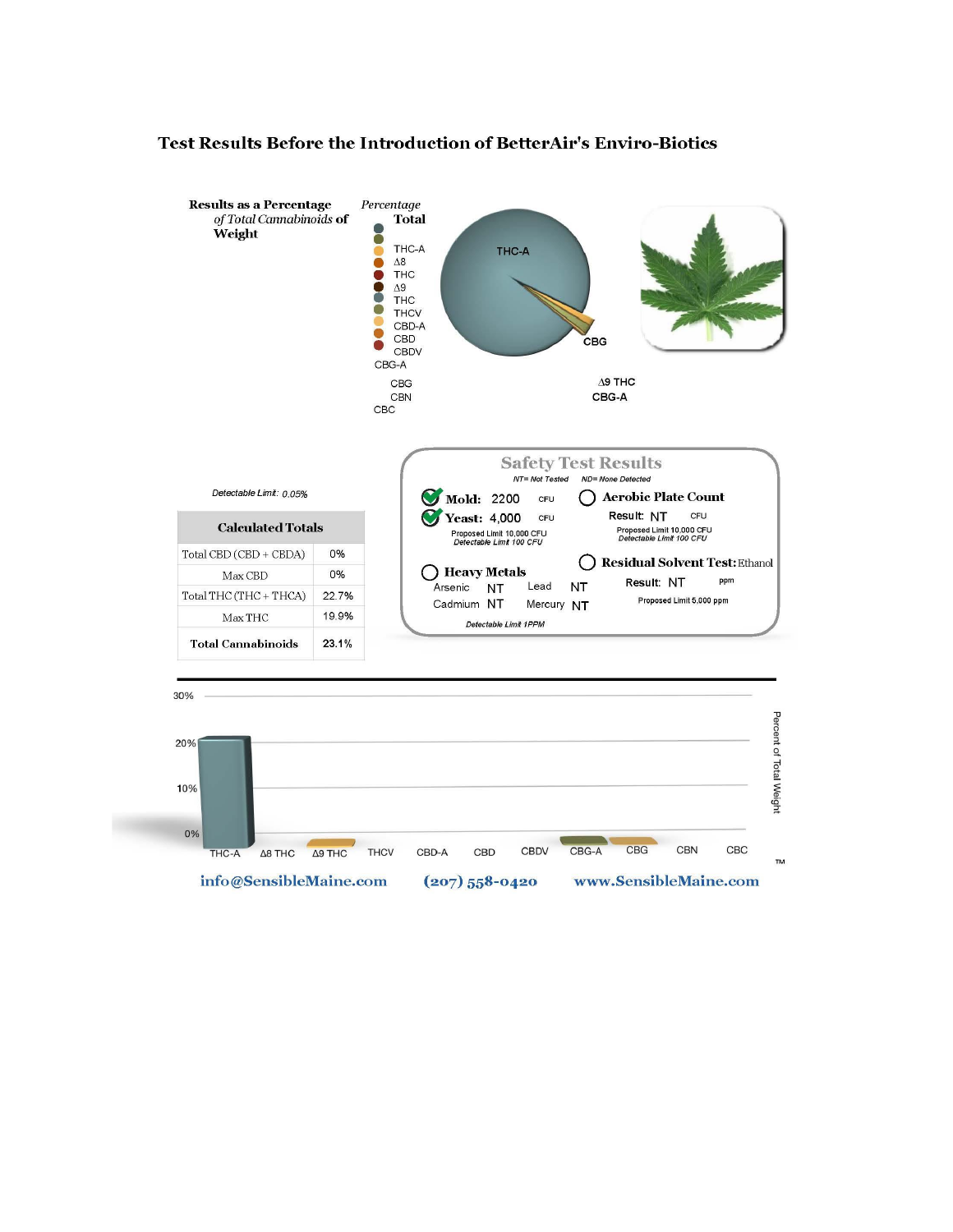#### **Results as a Percentage** Percentage of Total Cannabinoids of **Total** 8 Weight THC-A THC-A C ...  $\Delta8$ **THC**  $\Delta 9$ **THC THCV** CBD-A Ō CBD CBG Ō CBDV  $CBG-A$ CBG  $\Delta$ 9 THC  $CBG-A$  $CBN$  $CBC$ **Safety Test Results** Detectable Limit: 0.05% ◯ Aerobic Plate Count Mold: 2200 CFU Yeast: 4,000 CFU Result: NT CFU **Calculated Totals** Proposed Limit 10,000 CFU<br>Defectable Limit 100 CFU Proposed Limit 10,000 CFU<br>Defe*ctable Limit 100 CFU* Total CBD (CBD + CBDA) 0% ◯ Residual Solvent Test: Ethanol ◯ Heavy Metals Max CBD 0% Result: NT ppm Arsenic NT Lead NT Total THC (THC + THCA) 22.7% Proposed Limit 5,000 ppm Mercury NT Cadmium NT 19.9%  ${\rm Max\,THC}$ Detectable Limit 1PPM **Total Cannabinoids**  $23.1%$

#### Test Results Before the Introduction of BetterAir's Enviro-Biotics